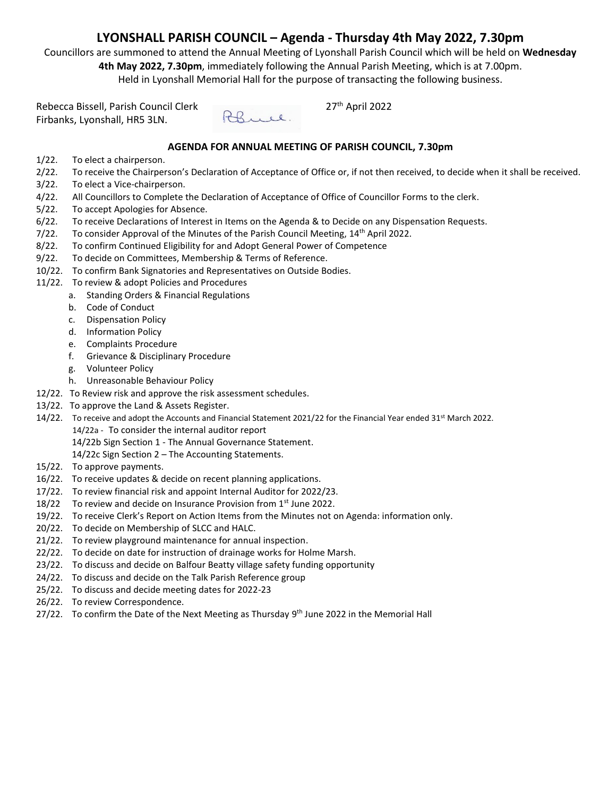# **LYONSHALL PARISH COUNCIL – Agenda - Thursday 4th May 2022, 7.30pm**

Councillors are summoned to attend the Annual Meeting of Lyonshall Parish Council which will be held on **Wednesday 4th May 2022, 7.30pm**, immediately following the Annual Parish Meeting, which is at 7.00pm. Held in Lyonshall Memorial Hall for the purpose of transacting the following business.

Rebecca Bissell, Parish Council Clerk<br>Firbanks I vonshall HR5 31 N Firbanks, Lyonshall, HR5 3LN.



 $27<sup>th</sup>$  April 2022

### **AGENDA FOR ANNUAL MEETING OF PARISH COUNCIL, 7.30pm**

- 1/22. To elect a chairperson.
- 2/22. To receive the Chairperson's Declaration of Acceptance of Office or, if not then received, to decide when it shall be received.
- 3/22. To elect a Vice-chairperson.
- 4/22. All Councillors to Complete the Declaration of Acceptance of Office of Councillor Forms to the clerk.
- 5/22. To accept Apologies for Absence.
- 6/22. To receive Declarations of Interest in Items on the Agenda & to Decide on any Dispensation Requests.
- $7/22$ . To consider Approval of the Minutes of the Parish Council Meeting,  $14<sup>th</sup>$  April 2022.
- 8/22. To confirm Continued Eligibility for and Adopt General Power of Competence
- 9/22. To decide on Committees, Membership & Terms of Reference.
- 10/22. To confirm Bank Signatories and Representatives on Outside Bodies.
- 11/22. To review & adopt Policies and Procedures
	- a. Standing Orders & Financial Regulations
		- b. Code of Conduct
		- c. Dispensation Policy
		- d. Information Policy
		- e. Complaints Procedure
		- f. Grievance & Disciplinary Procedure
		- g. Volunteer Policy
		- h. Unreasonable Behaviour Policy
- 12/22. To Review risk and approve the risk assessment schedules.
- 13/22. To approve the Land & Assets Register.
- 14/22. To receive and adopt the Accounts and Financial Statement 2021/22 for the Financial Year ended 31<sup>st</sup> March 2022. 14/22a - To consider the internal auditor report

14/22b Sign Section 1 - The Annual Governance Statement.

14/22c Sign Section 2 – The Accounting Statements.

- 15/22. To approve payments.
- 16/22. To receive updates & decide on recent planning applications.
- 17/22. To review financial risk and appoint Internal Auditor for 2022/23.
- 18/22 To review and decide on Insurance Provision from  $1<sup>st</sup>$  June 2022.
- 19/22. To receive Clerk's Report on Action Items from the Minutes not on Agenda: information only.
- 20/22. To decide on Membership of SLCC and HALC.
- 21/22. To review playground maintenance for annual inspection.
- 22/22. To decide on date for instruction of drainage works for Holme Marsh.
- 23/22. To discuss and decide on Balfour Beatty village safety funding opportunity
- 24/22. To discuss and decide on the Talk Parish Reference group
- 25/22. To discuss and decide meeting dates for 2022-23
- 26/22. To review Correspondence.
- 27/22. To confirm the Date of the Next Meeting as Thursday 9<sup>th</sup> June 2022 in the Memorial Hall